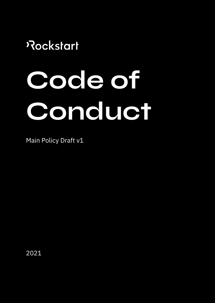# Rockstart

# **Code of Conduct**

Main Policy Draft v1

2021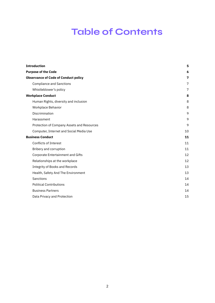## **Table of Contents**

<span id="page-1-0"></span>

| <b>Introduction</b>                         | 5  |
|---------------------------------------------|----|
| <b>Purpose of the Code</b>                  | 6  |
| <b>Observance of Code of Conduct policy</b> | 7  |
| <b>Compliance and Sanctions</b>             | 7  |
| Whistleblower's policy                      | 7  |
| <b>Workplace Conduct</b>                    | 8  |
| Human Rights, diversity and inclusion       | 8  |
| Workplace Behavior                          | 8  |
| Discrimination                              | 9  |
| Harassment                                  | 9  |
| Protection of Company Assets and Resources  | 9  |
| Computer, Internet and Social Media Use     | 10 |
| <b>Business Conduct</b>                     | 11 |
| <b>Conflicts of Interest</b>                | 11 |
| Bribery and corruption                      | 11 |
| <b>Corporate Entertainment and Gifts</b>    | 12 |
| Relationships at the workplace              | 12 |
| <b>Integrity of Books and Records</b>       | 13 |
| Health, Safety And The Environment          | 13 |
| Sanctions                                   | 14 |
| <b>Political Contributions</b>              | 14 |
| <b>Business Partners</b>                    | 14 |
| Data Privacy and Protection                 | 15 |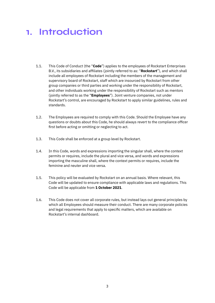### **1. Introduction**

- 1.1. This Code of Conduct (the "**Code**") applies to the employees of Rockstart Enterprises B.V., its subsidiaries and affiliates (jointly referred to as: "**Rockstart**"), and which shall include all employees of Rockstart including the members of the management and supervisory board of Rockstart, staff which are insourced by Rockstart from other group companies or third parties and working under the responsibility of Rockstart, and other individuals working under the responsibility of Rockstart such as mentors (jointly referred to as the "**Employees**"). Joint venture companies, not under Rockstart's control, are encouraged by Rockstart to apply similar guidelines, rules and standards.
- 1.2. The Employees are required to comply with this Code. Should the Employee have any questions or doubts about this Code, he should always revert to the compliance officer first before acting or omitting or neglecting to act.
- 1.3. This Code shall be enforced at a group level by Rockstart.
- 1.4. In this Code, words and expressions importing the singular shall, where the context permits or requires, include the plural and vice versa, and words and expressions importing the masculine shall, where the context permits or requires, include the feminine and neuter and vice versa.
- 1.5. This policy will be evaluated by Rockstart on an annual basis. Where relevant, this Code will be updated to ensure compliance with applicable laws and regulations. This Code will be applicable from **1 October 2021**.
- 1.6. This Code does not cover all corporate rules, but instead lays out general principles by which all Employees should measure their conduct. There are many corporate policies and legal requirements that apply to specific matters, which are available on Rockstart's internal dashboard.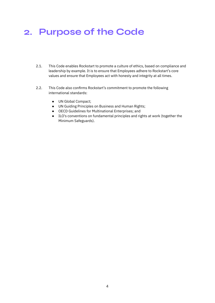## <span id="page-3-0"></span>**2. Purpose of the Code**

- 2.1. This Code enables Rockstart to promote a culture of ethics, based on compliance and leadership by example. It is to ensure that Employees adhere to Rockstart's core values and ensure that Employees act with honesty and integrity at all times.
- 2.2. This Code also confirms Rockstart's commitment to promote the following international standards:
	- UN Global Compact;
	- UN Guiding Principles on Business and Human Rights;
	- OECD Guidelines for Multinational Enterprises; and
	- ILO's conventions on fundamental principles and rights at work (together the Minimum Safeguards).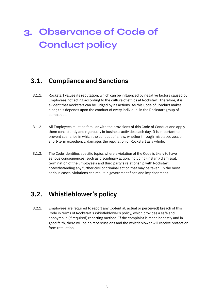## <span id="page-4-0"></span>**3. Observance of Code of Conduct policy**

#### <span id="page-4-1"></span>**3.1. Compliance and Sanctions**

- 3.1.1. Rockstart values its reputation, which can be influenced by negative factors caused by Employees not acting according to the culture of ethics at Rockstart. Therefore, it is evident that Rockstart can be judged by its actions. As this Code of Conduct makes clear, this depends upon the conduct of every individual in the Rockstart group of companies.
- 3.1.2. All Employees must be familiar with the provisions of this Code of Conduct and apply them consistently and rigorously in business activities each day. It is important to prevent scenarios in which the conduct of a few, whether through misplaced zeal or short-term expediency, damages the reputation of Rockstart as a whole.
- 3.1.3. The Code identifies specific topics where a violation of the Code is likely to have serious consequences, such as disciplinary action, including (instant) dismissal, termination of the Employee's and third party's relationship with Rockstart, notwithstanding any further civil or criminal action that may be taken. In the most serious cases, violations can result in government fines and imprisonment.

#### <span id="page-4-2"></span>**3.2. Whistleblower's policy**

3.2.1. Employees are required to report any (potential, actual or perceived) breach of this Code in terms of Rockstart's Whistleblower's policy, which provides a safe and anonymous (if required) reporting method. If the complaint is made honestly and in good faith, there will be no repercussions and the whistleblower will receive protection from retaliation.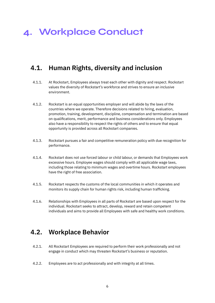## <span id="page-5-0"></span>**4. Workplace Conduct**

#### <span id="page-5-1"></span>**4.1. Human Rights, diversity and inclusion**

- 4.1.1. At Rockstart, Employees always treat each other with dignity and respect. Rockstart values the diversity of Rockstart's workforce and strives to ensure an inclusive environment.
- 4.1.2. Rockstart is an equal opportunities employer and will abide by the laws of the countries where we operate. Therefore decisions related to hiring, evaluation, promotion, training, development, discipline, compensation and termination are based on qualifications, merit, performance and business considerations only. Employees also have a responsibility to respect the rights of others and to ensure that equal opportunity is provided across all Rockstart companies.
- 4.1.3. Rockstart pursues a fair and competitive remuneration policy with due recognition for performance.
- 4.1.4. Rockstart does not use forced labour or child labour, or demands that Employees work excessive hours. Employee wages should comply with all applicable wage laws, including those relating to minimum wages and overtime hours. Rockstart employees have the right of free association.
- 4.1.5. Rockstart respects the customs of the local communities in which it operates and monitors its supply chain for human rights risk, including human trafficking.
- 4.1.6. Relationships with Employees in all parts of Rockstart are based upon respect for the individual. Rockstart seeks to attract, develop, reward and retain competent individuals and aims to provide all Employees with safe and healthy work conditions.

#### <span id="page-5-2"></span>**4.2. Workplace Behavior**

- 4.2.1. All Rockstart Employees are required to perform their work professionally and not engage in conduct which may threaten Rockstart's business or reputation.
- 4.2.2. Employees are to act professionally and with integrity at all times.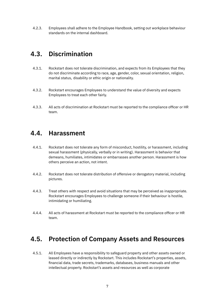4.2.3. Employees shall adhere to the Employee Handbook, setting out workplace behaviour standards on the internal dashboard.

#### <span id="page-6-0"></span>**4.3. Discrimination**

- 4.3.1. Rockstart does not tolerate discrimination, and expects from its Employees that they do not discriminate according to race, age, gender, color, sexual orientation, religion, marital status, disability or ethic origin or nationality.
- 4.3.2. Rockstart encourages Employees to understand the value of diversity and expects Employees to treat each other fairly.
- 4.3.3. All acts of discrimination at Rockstart must be reported to the compliance officer or HR team.

#### <span id="page-6-1"></span>**4.4. Harassment**

- 4.4.1. Rockstart does not tolerate any form of misconduct, hostility, or harassment, including sexual harassment (physically, verbally or in writing). Harassment is behavior that demeans, humiliates, intimidates or embarrasses another person. Harassment is how others perceive an action, not intent.
- 4.4.2. Rockstart does not tolerate distribution of offensive or derogatory material, including pictures.
- 4.4.3. Treat others with respect and avoid situations that may be perceived as inappropriate. Rockstart encourages Employees to challenge someone if their behaviour is hostile, intimidating or humiliating.
- 4.4.4. All acts of harassment at Rockstart must be reported to the compliance officer or HR team.

#### <span id="page-6-2"></span>**4.5. Protection of Company Assets and Resources**

4.5.1. All Employees have a responsibility to safeguard property and other assets owned or leased directly or indirectly by Rockstart. This includes Rockstart's properties, assets, financial data, trade secrets, trademarks, databases, business manuals and other intellectual property. Rockstart's assets and resources as well as corporate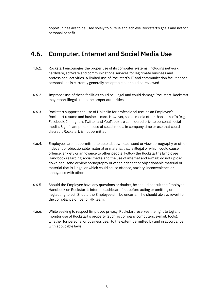opportunities are to be used solely to pursue and achieve Rockstart's goals and not for personal benefit.

#### <span id="page-7-0"></span>**4.6. Computer, Internet and Social Media Use**

- 4.6.1. Rockstart encourages the proper use of its computer systems, including network, hardware, software and communications services for legitimate business and professional activities. A limited use of Rockstart's IT and communication facilities for personal use is currently generally acceptable but could be reviewed.
- 4.6.2. Improper use of these facilities could be illegal and could damage Rockstart. Rockstart may report illegal use to the proper authorities.
- 4.6.3. Rockstart supports the use of LinkedIn for professional use, as an Employee's Rockstart resume and business card. However, social media other than LinkedIn (e.g. Facebook, Instagram, Twitter and YouTube) are considered private personal social media. Significant personal use of social media in company time or use that could discredit Rockstart, is not permitted.
- 4.6.4. Employees are not permitted to upload, download, send or view pornography or other indecent or objectionable material or material that is illegal or which could cause offence, anxiety or annoyance to other people. Follow the Rockstart´s Employee Handbook regarding social media and the use of internet and e-mail: do not upload, download, send or view pornography or other indecent or objectionable material or material that is illegal or which could cause offence, anxiety, inconvenience or annoyance with other people.
- 4.6.5. Should the Employee have any questions or doubts, he should consult the Employee Handbook on Rockstart's internal dashboard first before acting or omitting or neglecting to act. Should the Employee still be uncertain, he should always revert to the compliance officer or HR team.
- 4.6.6. While seeking to respect Employee privacy, Rockstart reserves the right to log and monitor use of Rockstart's property (such as company computers, e-mail, tools), whether for personal or business use, to the extent permitted by and in accordance with applicable laws.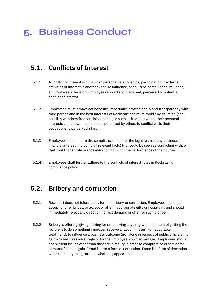## <span id="page-8-0"></span>**5. Business Conduct**

#### <span id="page-8-1"></span>**5.1. Conflicts of Interest**

- 5.1.1. A conflict of interest occurs when personal relationships, participation in external activities or interest in another venture influence, or could be perceived to influence, an Employee's decision. Employees should avoid any real, perceived or potential conflict of interest.
- 5.1.2. Employees must always act honestly, impartially, professionally and transparently with third parties and in the best interests of Rockstart and must avoid any situation (and possibly withdraw from decision making in such a situation) where their personal interests conflict with, or could be perceived by others to conflict with, their obligations towards Rockstart.
- 5.1.3. Employees must inform the compliance officer or the legal team of any business or financial interest (including all relevant facts) that could be seen as conflicting with, or that could constitute or (possibly) conflict with, the performance of their duties.
- 5.1.4. Employees shall further adhere to the conflicts of interest rules in Rockstart's compliance policy.

#### <span id="page-8-2"></span>**5.2. Bribery and corruption**

- 5.2.1. Rockstart does not tolerate any form of bribery or corruption. Employees must not accept or offer bribes, or accept or offer inappropriate gifts or hospitality and should immediately reject any direct or indirect demand or offer for such a bribe.
- 5.2.2. Bribery is offering, giving, asking for or receiving anything with the intent of getting the recipient to do something improper, receive a favour in return (or favourable treatment), to influence a business outcome (not alone in respect of public officials), to gain any business advantage or for the Employee's own advantage. Employees should not present issues other than they are in reality in order to compromise others or for personal financial gain. Fraud is also a form of corruption. Fraud is a form of deception where in reality things are not what they appear to be.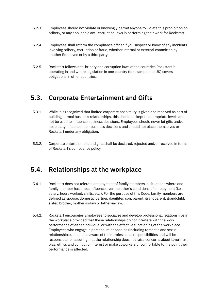- 5.2.3. Employees should not violate or knowingly permit anyone to violate this prohibition on bribery, or any applicable anti-corruption laws in performing their work for Rockstart.
- 5.2.4. Employees shall Inform the compliance officer if you suspect or know of any incidents involving bribery, corruption or fraud, whether internal or external committed by another Employee or by a third party.
- 5.2.5. Rockstart follows anti-bribery and corruption laws of the countries Rockstart is operating in and where legislation in one country (for example the UK) covers obligations in other countries.

#### <span id="page-9-0"></span>**5.3. Corporate Entertainment and Gifts**

- 5.3.1. While it is recognized that limited corporate hospitality is given and received as part of building normal business relationships, this should be kept to appropriate levels and not be used to influence business decisions. Employees should never let gifts and/or hospitality influence their business decisions and should not place themselves or Rockstart under any obligation.
- 5.3.2. Corporate entertainment and gifts shall be declared, rejected and/or received in terms of Rockstart's compliance policy.

#### <span id="page-9-1"></span>**5.4. Relationships at the workplace**

- 5.4.1. Rockstart does not tolerate employment of family members in situations where one family member has direct influence over the other's conditions of employment (i.e., salary, hours worked, shifts, etc.). For the purpose of this Code, family members are defined as spouse, domestic partner, daughter, son, parent, grandparent, grandchild, sister, brother, mother-in-law or father-in-law.
- 5.4.2. Rockstart encourages Employees to socialize and develop professional relationships in the workplace provided that these relationships do not interfere with the work performance of either individual or with the effective functioning of the workplace. Employees who engage in personal relationships (including romantic and sexual relationships), should be aware of their professional responsibilities and will be responsible for assuring that the relationship does not raise concerns about favoritism, bias, ethics and conflict of interest or make coworkers uncomfortable to the point their performance is affected.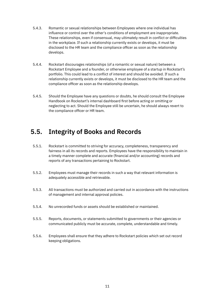- 5.4.3. Romantic or sexual relationships between Employees where one individual has influence or control over the other's conditions of employment are inappropriate. These relationships, even if consensual, may ultimately result in conflict or difficulties in the workplace. If such a relationship currently exists or develops, it must be disclosed to the HR team and the compliance officer as soon as the relationship develops.
- 5.4.4. Rockstart discourages relationships (of a romantic or sexual nature) between a Rockstart Employee and a founder, or otherwise employee of a startup in Rockstart's portfolio. This could lead to a conflict of interest and should be avoided. If such a relationship currently exists or develops, it must be disclosed to the HR team and the compliance officer as soon as the relationship develops.
- 5.4.5. Should the Employee have any questions or doubts, he should consult the Employee Handbook on Rockstart's internal dashboard first before acting or omitting or neglecting to act. Should the Employee still be uncertain, he should always revert to the compliance officer or HR team.

#### <span id="page-10-0"></span>**5.5. Integrity of Books and Records**

- 5.5.1. Rockstart is committed to striving for accuracy, completeness, transparency and fairness in all its records and reports. Employees have the responsibility to maintain in a timely manner complete and accurate (financial and/or accounting) records and reports of any transactions pertaining to Rockstart.
- 5.5.2. Employees must manage their records in such a way that relevant information is adequately accessible and retrievable.
- 5.5.3. All transactions must be authorized and carried out in accordance with the instructions of management and internal approval policies.
- 5.5.4. No unrecorded funds or assets should be established or maintained.
- 5.5.5. Reports, documents, or statements submitted to governments or their agencies or communicated publicly must be accurate, complete, understandable and timely.
- <span id="page-10-1"></span>5.5.6. Employees shall ensure that they adhere to Rockstart policies which set out record keeping obligations.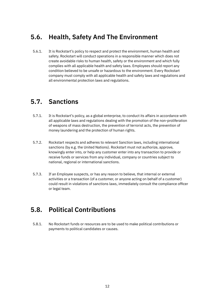#### **5.6. Health, Safety And The Environment**

5.6.1. It is Rockstart's policy to respect and protect the environment, human health and safety. Rockstart will conduct operations in a responsible manner which does not create avoidable risks to human health, safety or the environment and which fully complies with all applicable health and safety laws. Employees should report any condition believed to be unsafe or hazardous to the environment. Every Rockstart company must comply with all applicable health and safety laws and regulations and all environmental protection laws and regulations.

#### <span id="page-11-0"></span>**5.7. Sanctions**

- 5.7.1. It is Rockstart's policy, as a global enterprise, to conduct its affairs in accordance with all applicable laws and regulations dealing with the promotion of the non-proliferation of weapons of mass destruction, the prevention of terrorist acts, the prevention of money laundering and the protection of human rights.
- 5.7.2. Rockstart respects and adheres to relevant Sanction laws, including international sanctions (by e.g. the United Nations). Rockstart must not authorize, approve, knowingly enter into, or help any customer enter into any transaction to provide or receive funds or services from any individual, company or countries subject to national, regional or international sanctions.
- 5.7.3. If an Employee suspects, or has any reason to believe, that internal or external activities or a transaction (of a customer, or anyone acting on behalf of a customer) could result in violations of sanctions laws, immediately consult the compliance officer or legal team.

#### <span id="page-11-1"></span>**5.8. Political Contributions**

5.8.1. No Rockstart funds or resources are to be used to make political contributions or payments to political candidates or causes.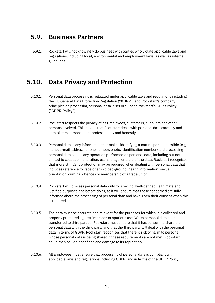#### <span id="page-12-0"></span>**5.9. Business Partners**

5.9.1. Rockstart will not knowingly do business with parties who violate applicable laws and regulations, including local, environmental and employment laws, as well as internal guidelines.

#### <span id="page-12-1"></span>**5.10. Data Privacy and Protection**

- 5.10.1. Personal data processing is regulated under applicable laws and regulations including the EU General Data Protection Regulation ("**GDPR**") and Rockstart's company principles on processing personal data is set out under Rockstart's GDPR Policy ("**GDPR Policy**").
- 5.10.2. Rockstart respects the privacy of its Employees, customers, suppliers and other persons involved. This means that Rockstart deals with personal data carefully and administers personal data professionally and honestly.
- 5.10.3. Personal data is any information that makes identifying a natural person possible (e.g. name, e-mail address, phone number, photo, identification number) and processing personal data can be any operation performed on personal data, including but not limited to collection, alteration, use, storage, erasure of the data. Rockstart recognises that more stringent protection may be required when dealing with personal data that includes reference to race or ethnic background, health information, sexual orientation, criminal offences or membership of a trade union.
- 5.10.4. Rockstart will process personal data only for specific, well-defined, legitimate and justified purposes and before doing so it will ensure that those concerned are fully informed about the processing of personal data and have given their consent when this is required.
- 5.10.5. The data must be accurate and relevant for the purposes for which it is collected and properly protected against improper or spurious use. When personal data has to be transferred to third parties, Rockstart must ensure that it has consent to share the personal data with the third party and that the third party will deal with the personal data in terms of GDPR. Rockstart recognises that there is risk of harm to persons whose personal data is being shared if these requirements are not met. Rockstart could then be liable for fines and damage to its reputation.
- 5.10.6. All Employees must ensure that processing of personal data is compliant with applicable laws and regulations including GDPR, and in terms of the GDPR Policy.